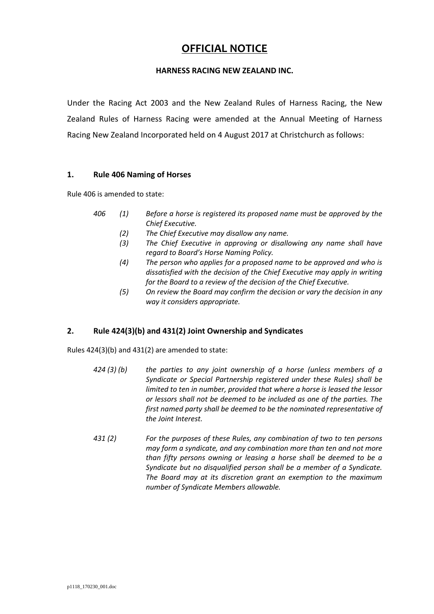# **OFFICIAL NOTICE**

## **HARNESS RACING NEW ZEALAND INC.**

Under the Racing Act 2003 and the New Zealand Rules of Harness Racing, the New Zealand Rules of Harness Racing were amended at the Annual Meeting of Harness Racing New Zealand Incorporated held on 4 August 2017 at Christchurch as follows:

## **1. Rule 406 Naming of Horses**

Rule 406 is amended to state:

- *406 (1) Before a horse is registered its proposed name must be approved by the Chief Executive.* 
	- *(2) The Chief Executive may disallow any name.*
	- *(3) The Chief Executive in approving or disallowing any name shall have regard to Board's Horse Naming Policy.*
	- *(4) The person who applies for a proposed name to be approved and who is dissatisfied with the decision of the Chief Executive may apply in writing for the Board to a review of the decision of the Chief Executive.*
	- *(5) On review the Board may confirm the decision or vary the decision in any way it considers appropriate.*

## **2. Rule 424(3)(b) and 431(2) Joint Ownership and Syndicates**

Rules 424(3)(b) and 431(2) are amended to state:

- *424 (3) (b) the parties to any joint ownership of a horse (unless members of a Syndicate or Special Partnership registered under these Rules) shall be limited to ten in number, provided that where a horse is leased the lessor or lessors shall not be deemed to be included as one of the parties. The first named party shall be deemed to be the nominated representative of the Joint Interest.*
- *431 (2) For the purposes of these Rules, any combination of two to ten persons may form a syndicate, and any combination more than ten and not more than fifty persons owning or leasing a horse shall be deemed to be a Syndicate but no disqualified person shall be a member of a Syndicate. The Board may at its discretion grant an exemption to the maximum number of Syndicate Members allowable.*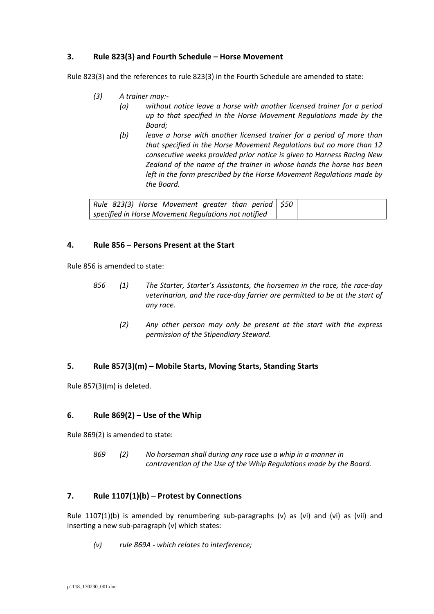## **3. Rule 823(3) and Fourth Schedule – Horse Movement**

Rule 823(3) and the references to rule 823(3) in the Fourth Schedule are amended to state:

- *(3) A trainer may:-*
	- *(a) without notice leave a horse with another licensed trainer for a period up to that specified in the Horse Movement Regulations made by the Board;*
	- *(b) leave a horse with another licensed trainer for a period of more than that specified in the Horse Movement Regulations but no more than 12 consecutive weeks provided prior notice is given to Harness Racing New Zealand of the name of the trainer in whose hands the horse has been left in the form prescribed by the Horse Movement Regulations made by the Board.*

| Rule 823(3) Horse Movement greater than period $\frac{1}{50}$ |  |
|---------------------------------------------------------------|--|
| specified in Horse Movement Regulations not notified          |  |

## **4. Rule 856 – Persons Present at the Start**

Rule 856 is amended to state:

- *856 (1) The Starter, Starter's Assistants, the horsemen in the race, the race-day veterinarian, and the race-day farrier are permitted to be at the start of any race.*
	- *(2) Any other person may only be present at the start with the express permission of the Stipendiary Steward.*

## **5. Rule 857(3)(m) – Mobile Starts, Moving Starts, Standing Starts**

Rule 857(3)(m) is deleted.

## **6. Rule 869(2) – Use of the Whip**

Rule 869(2) is amended to state:

*869 (2) No horseman shall during any race use a whip in a manner in contravention of the Use of the Whip Regulations made by the Board.*

## **7. Rule 1107(1)(b) – Protest by Connections**

Rule  $1107(1)(b)$  is amended by renumbering sub-paragraphs (v) as (vi) and (vi) as (vii) and inserting a new sub-paragraph (v) which states:

*(v) rule 869A - which relates to interference;*